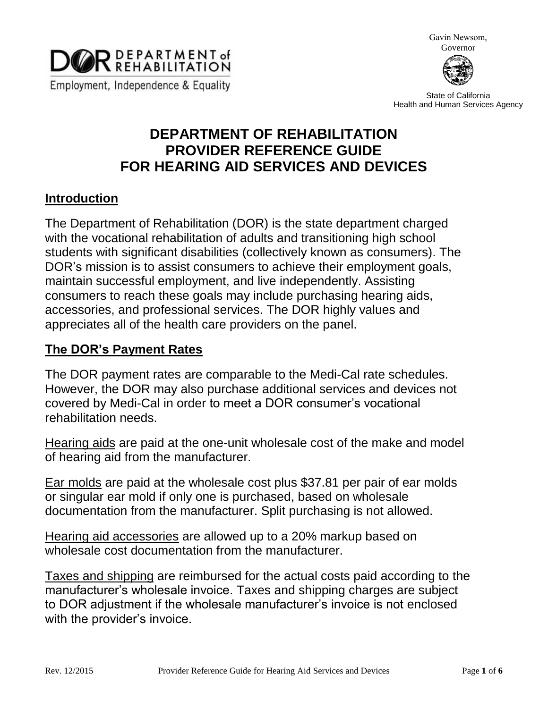

Gavin Newsom, Governor



State of California Health and Human Services Agency

# **DEPARTMENT OF REHABILITATION PROVIDER REFERENCE GUIDE FOR HEARING AID SERVICES AND DEVICES**

#### **Introduction**

The Department of Rehabilitation (DOR) is the state department charged with the vocational rehabilitation of adults and transitioning high school students with significant disabilities (collectively known as consumers). The DOR's mission is to assist consumers to achieve their employment goals, maintain successful employment, and live independently. Assisting consumers to reach these goals may include purchasing hearing aids, accessories, and professional services. The DOR highly values and appreciates all of the health care providers on the panel.

## **The DOR's Payment Rates**

The DOR payment rates are comparable to the Medi-Cal rate schedules. However, the DOR may also purchase additional services and devices not covered by Medi-Cal in order to meet a DOR consumer's vocational rehabilitation needs.

Hearing aids are paid at the one-unit wholesale cost of the make and model of hearing aid from the manufacturer.

Ear molds are paid at the wholesale cost plus \$37.81 per pair of ear molds or singular ear mold if only one is purchased, based on wholesale documentation from the manufacturer. Split purchasing is not allowed.

Hearing aid accessories are allowed up to a 20% markup based on wholesale cost documentation from the manufacturer.

Taxes and shipping are reimbursed for the actual costs paid according to the manufacturer's wholesale invoice. Taxes and shipping charges are subject to DOR adjustment if the wholesale manufacturer's invoice is not enclosed with the provider's invoice.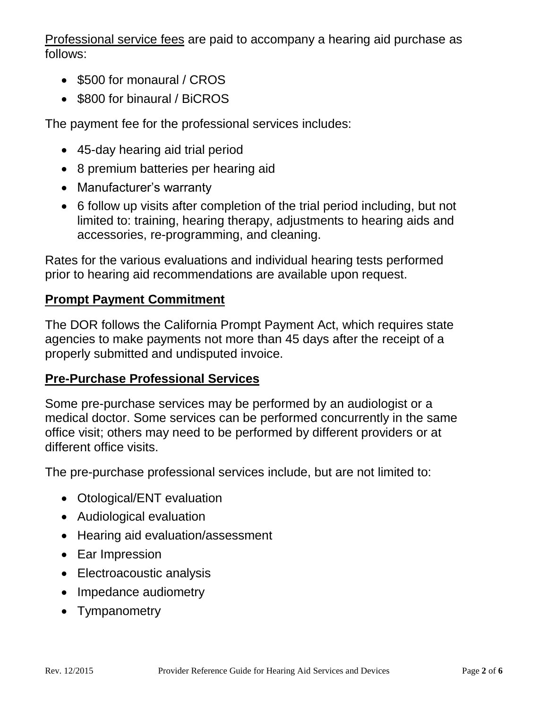Professional service fees are paid to accompany a hearing aid purchase as follows:

- \$500 for monaural / CROS
- \$800 for binaural / BiCROS

The payment fee for the professional services includes:

- 45-day hearing aid trial period
- 8 premium batteries per hearing aid
- Manufacturer's warranty
- 6 follow up visits after completion of the trial period including, but not limited to: training, hearing therapy, adjustments to hearing aids and accessories, re-programming, and cleaning.

Rates for the various evaluations and individual hearing tests performed prior to hearing aid recommendations are available upon request.

## **Prompt Payment Commitment**

The DOR follows the California Prompt Payment Act, which requires state agencies to make payments not more than 45 days after the receipt of a properly submitted and undisputed invoice.

### **Pre-Purchase Professional Services**

Some pre-purchase services may be performed by an audiologist or a medical doctor. Some services can be performed concurrently in the same office visit; others may need to be performed by different providers or at different office visits.

The pre-purchase professional services include, but are not limited to:

- Otological/ENT evaluation
- Audiological evaluation
- Hearing aid evaluation/assessment
- Ear Impression
- Electroacoustic analysis
- Impedance audiometry
- Tympanometry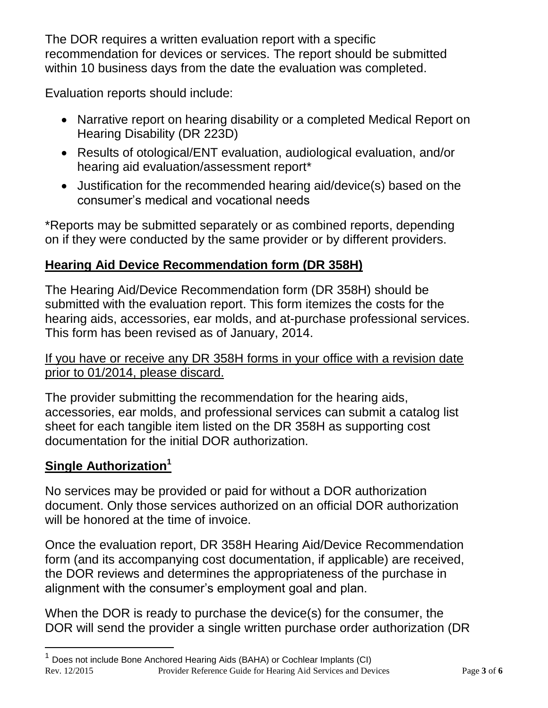The DOR requires a written evaluation report with a specific recommendation for devices or services. The report should be submitted within 10 business days from the date the evaluation was completed.

Evaluation reports should include:

- Narrative report on hearing disability or a completed Medical Report on Hearing Disability (DR 223D)
- Results of otological/ENT evaluation, audiological evaluation, and/or hearing aid evaluation/assessment report\*
- Justification for the recommended hearing aid/device(s) based on the consumer's medical and vocational needs

\*Reports may be submitted separately or as combined reports, depending on if they were conducted by the same provider or by different providers.

# **Hearing Aid Device Recommendation form (DR 358H)**

The Hearing Aid/Device Recommendation form (DR 358H) should be submitted with the evaluation report. This form itemizes the costs for the hearing aids, accessories, ear molds, and at-purchase professional services. This form has been revised as of January, 2014.

#### If you have or receive any DR 358H forms in your office with a revision date prior to 01/2014, please discard.

The provider submitting the recommendation for the hearing aids, accessories, ear molds, and professional services can submit a catalog list sheet for each tangible item listed on the DR 358H as supporting cost documentation for the initial DOR authorization.

# **Single Authorization<sup>1</sup>**

No services may be provided or paid for without a DOR authorization document. Only those services authorized on an official DOR authorization will be honored at the time of invoice.

Once the evaluation report, DR 358H Hearing Aid/Device Recommendation form (and its accompanying cost documentation, if applicable) are received, the DOR reviews and determines the appropriateness of the purchase in alignment with the consumer's employment goal and plan.

When the DOR is ready to purchase the device(s) for the consumer, the DOR will send the provider a single written purchase order authorization (DR

<sup>1</sup> Does not include Bone Anchored Hearing Aids (BAHA) or Cochlear Implants (CI) Rev. 12/2015 Provider Reference Guide for Hearing Aid Services and Devices Page **3** of **6**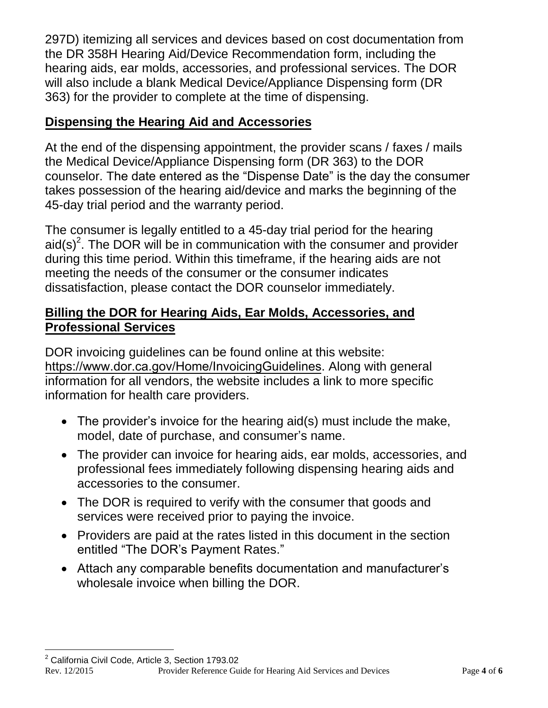297D) itemizing all services and devices based on cost documentation from the DR 358H Hearing Aid/Device Recommendation form, including the hearing aids, ear molds, accessories, and professional services. The DOR will also include a blank Medical Device/Appliance Dispensing form (DR 363) for the provider to complete at the time of dispensing.

## **Dispensing the Hearing Aid and Accessories**

At the end of the dispensing appointment, the provider scans / faxes / mails the Medical Device/Appliance Dispensing form (DR 363) to the DOR counselor. The date entered as the "Dispense Date" is the day the consumer takes possession of the hearing aid/device and marks the beginning of the 45-day trial period and the warranty period.

The consumer is legally entitled to a 45-day trial period for the hearing aid(s)<sup>2</sup>. The DOR will be in communication with the consumer and provider during this time period. Within this timeframe, if the hearing aids are not meeting the needs of the consumer or the consumer indicates dissatisfaction, please contact the DOR counselor immediately.

#### **Billing the DOR for Hearing Aids, Ear Molds, Accessories, and Professional Services**

DOR invoicing guidelines can be found online at this website: [https://www.dor.ca.gov/Home/InvoicingGuidelines](http://dor.ca.gov/Public/Invoicing-Guidelines-for-Vendors.html). Along with general information for all vendors, the website includes a link to more specific information for health care providers.

- The provider's invoice for the hearing aid(s) must include the make, model, date of purchase, and consumer's name.
- The provider can invoice for hearing aids, ear molds, accessories, and professional fees immediately following dispensing hearing aids and accessories to the consumer.
- The DOR is required to verify with the consumer that goods and services were received prior to paying the invoice.
- Providers are paid at the rates listed in this document in the section entitled "The DOR's Payment Rates."
- Attach any comparable benefits documentation and manufacturer's wholesale invoice when billing the DOR.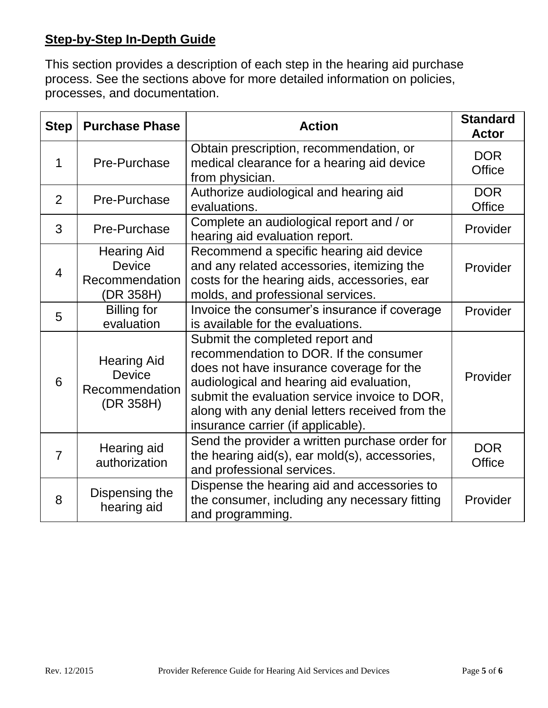# **Step-by-Step In-Depth Guide**

This section provides a description of each step in the hearing aid purchase process. See the sections above for more detailed information on policies, processes, and documentation.

| <b>Step</b>    | <b>Purchase Phase</b>                                              | <b>Action</b>                                                                                                                                                                                                                                                                                               | <b>Standard</b><br><b>Actor</b> |
|----------------|--------------------------------------------------------------------|-------------------------------------------------------------------------------------------------------------------------------------------------------------------------------------------------------------------------------------------------------------------------------------------------------------|---------------------------------|
| 1              | Pre-Purchase                                                       | Obtain prescription, recommendation, or<br>medical clearance for a hearing aid device<br>from physician.                                                                                                                                                                                                    | <b>DOR</b><br><b>Office</b>     |
| $\overline{2}$ | Pre-Purchase                                                       | Authorize audiological and hearing aid<br>evaluations.                                                                                                                                                                                                                                                      | <b>DOR</b><br><b>Office</b>     |
| 3              | Pre-Purchase                                                       | Complete an audiological report and / or<br>hearing aid evaluation report.                                                                                                                                                                                                                                  | Provider                        |
| $\overline{4}$ | <b>Hearing Aid</b><br><b>Device</b><br>Recommendation<br>(DR 358H) | Recommend a specific hearing aid device<br>and any related accessories, itemizing the<br>costs for the hearing aids, accessories, ear<br>molds, and professional services.                                                                                                                                  | Provider                        |
| 5              | <b>Billing for</b><br>evaluation                                   | Invoice the consumer's insurance if coverage<br>is available for the evaluations.                                                                                                                                                                                                                           | Provider                        |
| 6              | <b>Hearing Aid</b><br><b>Device</b><br>Recommendation<br>(DR 358H) | Submit the completed report and<br>recommendation to DOR. If the consumer<br>does not have insurance coverage for the<br>audiological and hearing aid evaluation,<br>submit the evaluation service invoice to DOR,<br>along with any denial letters received from the<br>insurance carrier (if applicable). | Provider                        |
| $\overline{7}$ | Hearing aid<br>authorization                                       | Send the provider a written purchase order for<br>the hearing aid(s), ear mold(s), accessories,<br>and professional services.                                                                                                                                                                               | <b>DOR</b><br><b>Office</b>     |
| 8              | Dispensing the<br>hearing aid                                      | Dispense the hearing aid and accessories to<br>the consumer, including any necessary fitting<br>and programming.                                                                                                                                                                                            | Provider                        |